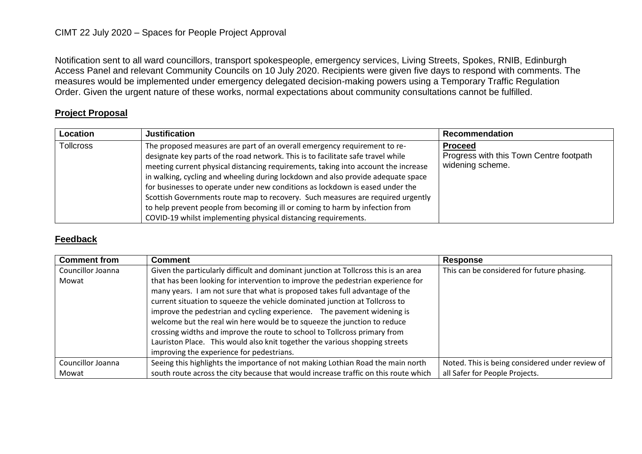## CIMT 22 July 2020 – Spaces for People Project Approval

Notification sent to all ward councillors, transport spokespeople, emergency services, Living Streets, Spokes, RNIB, Edinburgh Access Panel and relevant Community Councils on 10 July 2020. Recipients were given five days to respond with comments. The measures would be implemented under emergency delegated decision-making powers using a Temporary Traffic Regulation Order. Given the urgent nature of these works, normal expectations about community consultations cannot be fulfilled.

## **Project Proposal**

| Location         | <b>Justification</b>                                                                                                                                                                                                                                                                                                                                                                                                                                                                                                                                                                                                                                          | Recommendation                                                                |
|------------------|---------------------------------------------------------------------------------------------------------------------------------------------------------------------------------------------------------------------------------------------------------------------------------------------------------------------------------------------------------------------------------------------------------------------------------------------------------------------------------------------------------------------------------------------------------------------------------------------------------------------------------------------------------------|-------------------------------------------------------------------------------|
| <b>Tollcross</b> | The proposed measures are part of an overall emergency requirement to re-<br>designate key parts of the road network. This is to facilitate safe travel while<br>meeting current physical distancing requirements, taking into account the increase<br>in walking, cycling and wheeling during lockdown and also provide adequate space<br>for businesses to operate under new conditions as lockdown is eased under the<br>Scottish Governments route map to recovery. Such measures are required urgently<br>to help prevent people from becoming ill or coming to harm by infection from<br>COVID-19 whilst implementing physical distancing requirements. | <b>Proceed</b><br>Progress with this Town Centre footpath<br>widening scheme. |

## **Feedback**

| <b>Comment from</b> | <b>Comment</b>                                                                      | <b>Response</b>                                 |
|---------------------|-------------------------------------------------------------------------------------|-------------------------------------------------|
| Councillor Joanna   | Given the particularly difficult and dominant junction at Tollcross this is an area | This can be considered for future phasing.      |
| Mowat               | that has been looking for intervention to improve the pedestrian experience for     |                                                 |
|                     | many years. I am not sure that what is proposed takes full advantage of the         |                                                 |
|                     | current situation to squeeze the vehicle dominated junction at Tollcross to         |                                                 |
|                     | improve the pedestrian and cycling experience. The pavement widening is             |                                                 |
|                     | welcome but the real win here would be to squeeze the junction to reduce            |                                                 |
|                     | crossing widths and improve the route to school to Tollcross primary from           |                                                 |
|                     | Lauriston Place. This would also knit together the various shopping streets         |                                                 |
|                     | improving the experience for pedestrians.                                           |                                                 |
| Councillor Joanna   | Seeing this highlights the importance of not making Lothian Road the main north     | Noted. This is being considered under review of |
| Mowat               | south route across the city because that would increase traffic on this route which | all Safer for People Projects.                  |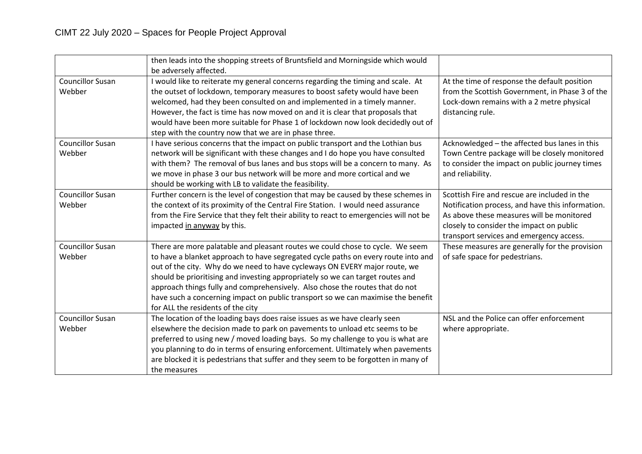|                                   | then leads into the shopping streets of Bruntsfield and Morningside which would<br>be adversely affected.                                                                                                                                                                                                                                                                                                                                                                                                                                   |                                                                                                                                                                                                                                       |
|-----------------------------------|---------------------------------------------------------------------------------------------------------------------------------------------------------------------------------------------------------------------------------------------------------------------------------------------------------------------------------------------------------------------------------------------------------------------------------------------------------------------------------------------------------------------------------------------|---------------------------------------------------------------------------------------------------------------------------------------------------------------------------------------------------------------------------------------|
| <b>Councillor Susan</b><br>Webber | I would like to reiterate my general concerns regarding the timing and scale. At<br>the outset of lockdown, temporary measures to boost safety would have been<br>welcomed, had they been consulted on and implemented in a timely manner.<br>However, the fact is time has now moved on and it is clear that proposals that<br>would have been more suitable for Phase 1 of lockdown now look decidedly out of<br>step with the country now that we are in phase three.                                                                    | At the time of response the default position<br>from the Scottish Government, in Phase 3 of the<br>Lock-down remains with a 2 metre physical<br>distancing rule.                                                                      |
| <b>Councillor Susan</b><br>Webber | I have serious concerns that the impact on public transport and the Lothian bus<br>network will be significant with these changes and I do hope you have consulted<br>with them? The removal of bus lanes and bus stops will be a concern to many. As<br>we move in phase 3 our bus network will be more and more cortical and we<br>should be working with LB to validate the feasibility.                                                                                                                                                 | Acknowledged - the affected bus lanes in this<br>Town Centre package will be closely monitored<br>to consider the impact on public journey times<br>and reliability.                                                                  |
| <b>Councillor Susan</b><br>Webber | Further concern is the level of congestion that may be caused by these schemes in<br>the context of its proximity of the Central Fire Station. I would need assurance<br>from the Fire Service that they felt their ability to react to emergencies will not be<br>impacted in anyway by this.                                                                                                                                                                                                                                              | Scottish Fire and rescue are included in the<br>Notification process, and have this information.<br>As above these measures will be monitored<br>closely to consider the impact on public<br>transport services and emergency access. |
| <b>Councillor Susan</b><br>Webber | There are more palatable and pleasant routes we could chose to cycle. We seem<br>to have a blanket approach to have segregated cycle paths on every route into and<br>out of the city. Why do we need to have cycleways ON EVERY major route, we<br>should be prioritising and investing appropriately so we can target routes and<br>approach things fully and comprehensively. Also chose the routes that do not<br>have such a concerning impact on public transport so we can maximise the benefit<br>for ALL the residents of the city | These measures are generally for the provision<br>of safe space for pedestrians.                                                                                                                                                      |
| <b>Councillor Susan</b><br>Webber | The location of the loading bays does raise issues as we have clearly seen<br>elsewhere the decision made to park on pavements to unload etc seems to be<br>preferred to using new / moved loading bays. So my challenge to you is what are<br>you planning to do in terms of ensuring enforcement. Ultimately when pavements<br>are blocked it is pedestrians that suffer and they seem to be forgotten in many of<br>the measures                                                                                                         | NSL and the Police can offer enforcement<br>where appropriate.                                                                                                                                                                        |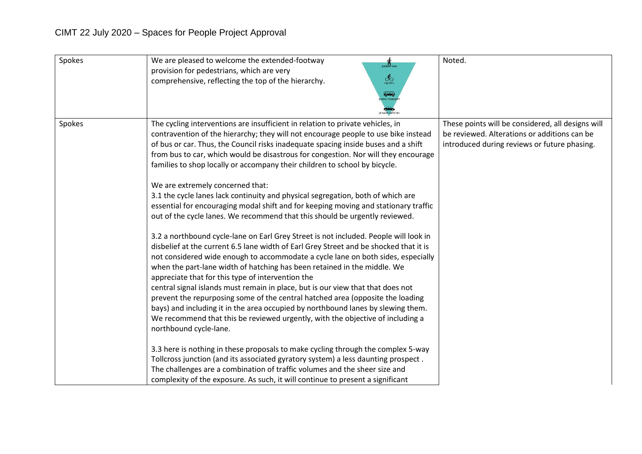| Spokes | We are pleased to welcome the extended-footway<br>$\boldsymbol{\Lambda}$ pedestrians<br>provision for pedestrians, which are very<br>$\delta_{\rm O}$<br>comprehensive, reflecting the top of the hierarchy.<br><b>THE</b>                                                                                                                                                                                                                                                                                                                                                                                                                                                                                                                                                                                                                                                                                                                                                                                                                                                                                                                                                                                                                                                                                                                                                                                                                                                                                                                                                                                                                                                                                                                                                                                                                      | Noted.                                                                                                                                            |
|--------|-------------------------------------------------------------------------------------------------------------------------------------------------------------------------------------------------------------------------------------------------------------------------------------------------------------------------------------------------------------------------------------------------------------------------------------------------------------------------------------------------------------------------------------------------------------------------------------------------------------------------------------------------------------------------------------------------------------------------------------------------------------------------------------------------------------------------------------------------------------------------------------------------------------------------------------------------------------------------------------------------------------------------------------------------------------------------------------------------------------------------------------------------------------------------------------------------------------------------------------------------------------------------------------------------------------------------------------------------------------------------------------------------------------------------------------------------------------------------------------------------------------------------------------------------------------------------------------------------------------------------------------------------------------------------------------------------------------------------------------------------------------------------------------------------------------------------------------------------|---------------------------------------------------------------------------------------------------------------------------------------------------|
| Spokes | The cycling interventions are insufficient in relation to private vehicles, in<br>contravention of the hierarchy; they will not encourage people to use bike instead<br>of bus or car. Thus, the Council risks inadequate spacing inside buses and a shift<br>from bus to car, which would be disastrous for congestion. Nor will they encourage<br>families to shop locally or accompany their children to school by bicycle.<br>We are extremely concerned that:<br>3.1 the cycle lanes lack continuity and physical segregation, both of which are<br>essential for encouraging modal shift and for keeping moving and stationary traffic<br>out of the cycle lanes. We recommend that this should be urgently reviewed.<br>3.2 a northbound cycle-lane on Earl Grey Street is not included. People will look in<br>disbelief at the current 6.5 lane width of Earl Grey Street and be shocked that it is<br>not considered wide enough to accommodate a cycle lane on both sides, especially<br>when the part-lane width of hatching has been retained in the middle. We<br>appreciate that for this type of intervention the<br>central signal islands must remain in place, but is our view that that does not<br>prevent the repurposing some of the central hatched area (opposite the loading<br>bays) and including it in the area occupied by northbound lanes by slewing them.<br>We recommend that this be reviewed urgently, with the objective of including a<br>northbound cycle-lane.<br>3.3 here is nothing in these proposals to make cycling through the complex 5-way<br>Tollcross junction (and its associated gyratory system) a less daunting prospect.<br>The challenges are a combination of traffic volumes and the sheer size and<br>complexity of the exposure. As such, it will continue to present a significant | These points will be considered, all designs will<br>be reviewed. Alterations or additions can be<br>introduced during reviews or future phasing. |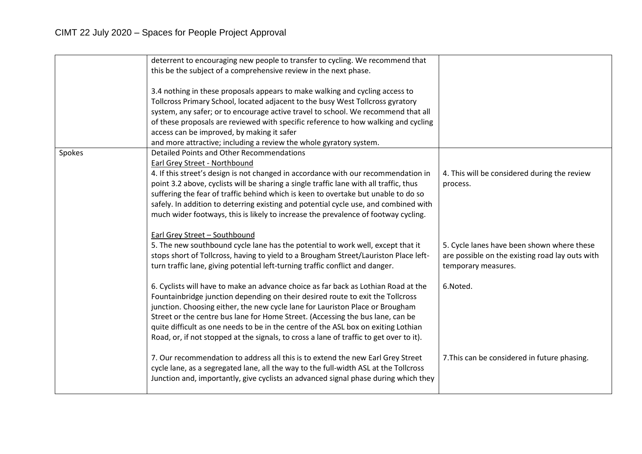|        | deterrent to encouraging new people to transfer to cycling. We recommend that<br>this be the subject of a comprehensive review in the next phase.                                                                                                                                                                                                                                                                                                                                                                                                                                                                                 |                                                                                                                      |
|--------|-----------------------------------------------------------------------------------------------------------------------------------------------------------------------------------------------------------------------------------------------------------------------------------------------------------------------------------------------------------------------------------------------------------------------------------------------------------------------------------------------------------------------------------------------------------------------------------------------------------------------------------|----------------------------------------------------------------------------------------------------------------------|
| Spokes | 3.4 nothing in these proposals appears to make walking and cycling access to<br>Tollcross Primary School, located adjacent to the busy West Tollcross gyratory<br>system, any safer; or to encourage active travel to school. We recommend that all<br>of these proposals are reviewed with specific reference to how walking and cycling<br>access can be improved, by making it safer<br>and more attractive; including a review the whole gyratory system.<br>Detailed Points and Other Recommendations<br>Earl Grey Street - Northbound<br>4. If this street's design is not changed in accordance with our recommendation in | 4. This will be considered during the review                                                                         |
|        | point 3.2 above, cyclists will be sharing a single traffic lane with all traffic, thus<br>suffering the fear of traffic behind which is keen to overtake but unable to do so<br>safely. In addition to deterring existing and potential cycle use, and combined with<br>much wider footways, this is likely to increase the prevalence of footway cycling.                                                                                                                                                                                                                                                                        | process.                                                                                                             |
|        | Earl Grey Street - Southbound<br>5. The new southbound cycle lane has the potential to work well, except that it<br>stops short of Tollcross, having to yield to a Brougham Street/Lauriston Place left-<br>turn traffic lane, giving potential left-turning traffic conflict and danger.                                                                                                                                                                                                                                                                                                                                         | 5. Cycle lanes have been shown where these<br>are possible on the existing road lay outs with<br>temporary measures. |
|        | 6. Cyclists will have to make an advance choice as far back as Lothian Road at the<br>Fountainbridge junction depending on their desired route to exit the Tollcross<br>junction. Choosing either, the new cycle lane for Lauriston Place or Brougham<br>Street or the centre bus lane for Home Street. (Accessing the bus lane, can be<br>quite difficult as one needs to be in the centre of the ASL box on exiting Lothian<br>Road, or, if not stopped at the signals, to cross a lane of traffic to get over to it).                                                                                                          | 6.Noted.                                                                                                             |
|        | 7. Our recommendation to address all this is to extend the new Earl Grey Street<br>cycle lane, as a segregated lane, all the way to the full-width ASL at the Tollcross<br>Junction and, importantly, give cyclists an advanced signal phase during which they                                                                                                                                                                                                                                                                                                                                                                    | 7. This can be considered in future phasing.                                                                         |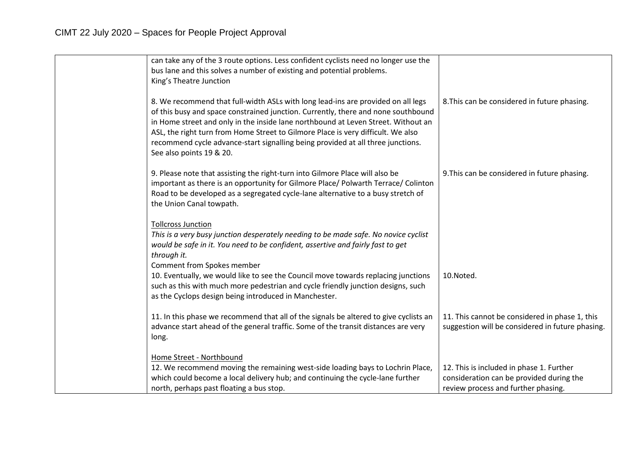| can take any of the 3 route options. Less confident cyclists need no longer use the<br>bus lane and this solves a number of existing and potential problems.<br>King's Theatre Junction                                                                                                                                                                                                                                                                       |                                                                                                                             |
|---------------------------------------------------------------------------------------------------------------------------------------------------------------------------------------------------------------------------------------------------------------------------------------------------------------------------------------------------------------------------------------------------------------------------------------------------------------|-----------------------------------------------------------------------------------------------------------------------------|
| 8. We recommend that full-width ASLs with long lead-ins are provided on all legs<br>of this busy and space constrained junction. Currently, there and none southbound<br>in Home street and only in the inside lane northbound at Leven Street. Without an<br>ASL, the right turn from Home Street to Gilmore Place is very difficult. We also<br>recommend cycle advance-start signalling being provided at all three junctions.<br>See also points 19 & 20. | 8. This can be considered in future phasing.                                                                                |
| 9. Please note that assisting the right-turn into Gilmore Place will also be<br>important as there is an opportunity for Gilmore Place/ Polwarth Terrace/ Colinton<br>Road to be developed as a segregated cycle-lane alternative to a busy stretch of<br>the Union Canal towpath.                                                                                                                                                                            | 9. This can be considered in future phasing.                                                                                |
| <b>Tollcross Junction</b><br>This is a very busy junction desperately needing to be made safe. No novice cyclist<br>would be safe in it. You need to be confident, assertive and fairly fast to get<br>through it.<br>Comment from Spokes member                                                                                                                                                                                                              |                                                                                                                             |
| 10. Eventually, we would like to see the Council move towards replacing junctions<br>such as this with much more pedestrian and cycle friendly junction designs, such<br>as the Cyclops design being introduced in Manchester.                                                                                                                                                                                                                                | 10.Noted.                                                                                                                   |
| 11. In this phase we recommend that all of the signals be altered to give cyclists an<br>advance start ahead of the general traffic. Some of the transit distances are very<br>long.                                                                                                                                                                                                                                                                          | 11. This cannot be considered in phase 1, this<br>suggestion will be considered in future phasing.                          |
| Home Street - Northbound<br>12. We recommend moving the remaining west-side loading bays to Lochrin Place,<br>which could become a local delivery hub; and continuing the cycle-lane further<br>north, perhaps past floating a bus stop.                                                                                                                                                                                                                      | 12. This is included in phase 1. Further<br>consideration can be provided during the<br>review process and further phasing. |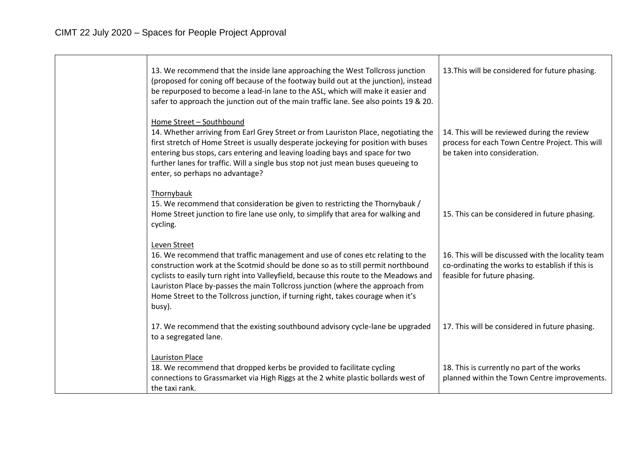| 13. We recommend that the inside lane approaching the West Tollcross junction<br>(proposed for coning off because of the footway build out at the junction), instead<br>be repurposed to become a lead-in lane to the ASL, which will make it easier and<br>safer to approach the junction out of the main traffic lane. See also points 19 & 20.                                                                                                          | 13. This will be considered for future phasing.                                                                                      |
|------------------------------------------------------------------------------------------------------------------------------------------------------------------------------------------------------------------------------------------------------------------------------------------------------------------------------------------------------------------------------------------------------------------------------------------------------------|--------------------------------------------------------------------------------------------------------------------------------------|
| Home Street - Southbound<br>14. Whether arriving from Earl Grey Street or from Lauriston Place, negotiating the<br>first stretch of Home Street is usually desperate jockeying for position with buses<br>entering bus stops, cars entering and leaving loading bays and space for two<br>further lanes for traffic. Will a single bus stop not just mean buses queueing to<br>enter, so perhaps no advantage?                                             | 14. This will be reviewed during the review<br>process for each Town Centre Project. This will<br>be taken into consideration.       |
| Thornybauk<br>15. We recommend that consideration be given to restricting the Thornybauk /<br>Home Street junction to fire lane use only, to simplify that area for walking and<br>cycling.                                                                                                                                                                                                                                                                | 15. This can be considered in future phasing.                                                                                        |
| Leven Street<br>16. We recommend that traffic management and use of cones etc relating to the<br>construction work at the Scotmid should be done so as to still permit northbound<br>cyclists to easily turn right into Valleyfield, because this route to the Meadows and<br>Lauriston Place by-passes the main Tollcross junction (where the approach from<br>Home Street to the Tollcross junction, if turning right, takes courage when it's<br>busy). | 16. This will be discussed with the locality team<br>co-ordinating the works to establish if this is<br>feasible for future phasing. |
| 17. We recommend that the existing southbound advisory cycle-lane be upgraded<br>to a segregated lane.                                                                                                                                                                                                                                                                                                                                                     | 17. This will be considered in future phasing.                                                                                       |
| <b>Lauriston Place</b><br>18. We recommend that dropped kerbs be provided to facilitate cycling<br>connections to Grassmarket via High Riggs at the 2 white plastic bollards west of<br>the taxi rank.                                                                                                                                                                                                                                                     | 18. This is currently no part of the works<br>planned within the Town Centre improvements.                                           |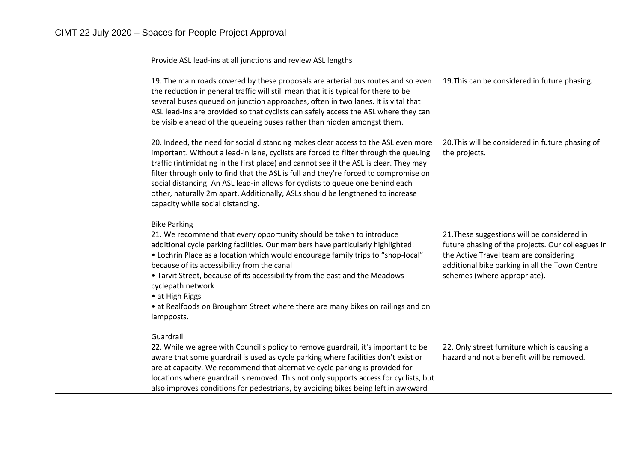| Provide ASL lead-ins at all junctions and review ASL lengths                                                                                                                                                                                                                                                                                                                                                                                                                                                                                                          |                                                                                                                                                                                                                              |
|-----------------------------------------------------------------------------------------------------------------------------------------------------------------------------------------------------------------------------------------------------------------------------------------------------------------------------------------------------------------------------------------------------------------------------------------------------------------------------------------------------------------------------------------------------------------------|------------------------------------------------------------------------------------------------------------------------------------------------------------------------------------------------------------------------------|
| 19. The main roads covered by these proposals are arterial bus routes and so even<br>the reduction in general traffic will still mean that it is typical for there to be<br>several buses queued on junction approaches, often in two lanes. It is vital that<br>ASL lead-ins are provided so that cyclists can safely access the ASL where they can<br>be visible ahead of the queueing buses rather than hidden amongst them.                                                                                                                                       | 19. This can be considered in future phasing.                                                                                                                                                                                |
| 20. Indeed, the need for social distancing makes clear access to the ASL even more<br>important. Without a lead-in lane, cyclists are forced to filter through the queuing<br>traffic (intimidating in the first place) and cannot see if the ASL is clear. They may<br>filter through only to find that the ASL is full and they're forced to compromise on<br>social distancing. An ASL lead-in allows for cyclists to queue one behind each<br>other, naturally 2m apart. Additionally, ASLs should be lengthened to increase<br>capacity while social distancing. | 20. This will be considered in future phasing of<br>the projects.                                                                                                                                                            |
| <b>Bike Parking</b><br>21. We recommend that every opportunity should be taken to introduce<br>additional cycle parking facilities. Our members have particularly highlighted:<br>• Lochrin Place as a location which would encourage family trips to "shop-local"<br>because of its accessibility from the canal<br>• Tarvit Street, because of its accessibility from the east and the Meadows<br>cyclepath network<br>• at High Riggs<br>• at Realfoods on Brougham Street where there are many bikes on railings and on<br>lampposts.                             | 21. These suggestions will be considered in<br>future phasing of the projects. Our colleagues in<br>the Active Travel team are considering<br>additional bike parking in all the Town Centre<br>schemes (where appropriate). |
| Guardrail<br>22. While we agree with Council's policy to remove guardrail, it's important to be<br>aware that some guardrail is used as cycle parking where facilities don't exist or<br>are at capacity. We recommend that alternative cycle parking is provided for<br>locations where guardrail is removed. This not only supports access for cyclists, but<br>also improves conditions for pedestrians, by avoiding bikes being left in awkward                                                                                                                   | 22. Only street furniture which is causing a<br>hazard and not a benefit will be removed.                                                                                                                                    |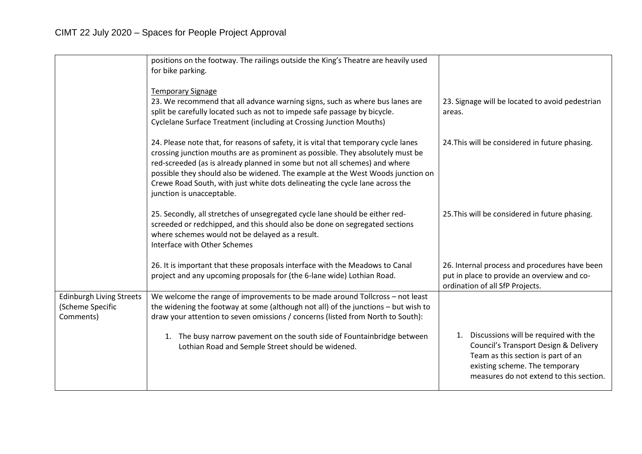|                                                                  | positions on the footway. The railings outside the King's Theatre are heavily used                                                                                                                                                                                                                                                                                                                                                                  |                                                                                                                                                                                                         |
|------------------------------------------------------------------|-----------------------------------------------------------------------------------------------------------------------------------------------------------------------------------------------------------------------------------------------------------------------------------------------------------------------------------------------------------------------------------------------------------------------------------------------------|---------------------------------------------------------------------------------------------------------------------------------------------------------------------------------------------------------|
|                                                                  | for bike parking.                                                                                                                                                                                                                                                                                                                                                                                                                                   |                                                                                                                                                                                                         |
|                                                                  | <b>Temporary Signage</b>                                                                                                                                                                                                                                                                                                                                                                                                                            |                                                                                                                                                                                                         |
|                                                                  | 23. We recommend that all advance warning signs, such as where bus lanes are<br>split be carefully located such as not to impede safe passage by bicycle.                                                                                                                                                                                                                                                                                           | 23. Signage will be located to avoid pedestrian<br>areas.                                                                                                                                               |
|                                                                  | Cyclelane Surface Treatment (including at Crossing Junction Mouths)                                                                                                                                                                                                                                                                                                                                                                                 |                                                                                                                                                                                                         |
|                                                                  | 24. Please note that, for reasons of safety, it is vital that temporary cycle lanes<br>crossing junction mouths are as prominent as possible. They absolutely must be<br>red-screeded (as is already planned in some but not all schemes) and where<br>possible they should also be widened. The example at the West Woods junction on<br>Crewe Road South, with just white dots delineating the cycle lane across the<br>junction is unacceptable. | 24. This will be considered in future phasing.                                                                                                                                                          |
|                                                                  | 25. Secondly, all stretches of unsegregated cycle lane should be either red-<br>screeded or redchipped, and this should also be done on segregated sections<br>where schemes would not be delayed as a result.<br>Interface with Other Schemes                                                                                                                                                                                                      | 25. This will be considered in future phasing.                                                                                                                                                          |
|                                                                  | 26. It is important that these proposals interface with the Meadows to Canal<br>project and any upcoming proposals for (the 6-lane wide) Lothian Road.                                                                                                                                                                                                                                                                                              | 26. Internal process and procedures have been<br>put in place to provide an overview and co-<br>ordination of all SfP Projects.                                                                         |
| <b>Edinburgh Living Streets</b><br>(Scheme Specific<br>Comments) | We welcome the range of improvements to be made around Tollcross - not least<br>the widening the footway at some (although not all) of the junctions - but wish to<br>draw your attention to seven omissions / concerns (listed from North to South):                                                                                                                                                                                               |                                                                                                                                                                                                         |
|                                                                  | 1. The busy narrow pavement on the south side of Fountainbridge between<br>Lothian Road and Semple Street should be widened.                                                                                                                                                                                                                                                                                                                        | Discussions will be required with the<br>1.<br>Council's Transport Design & Delivery<br>Team as this section is part of an<br>existing scheme. The temporary<br>measures do not extend to this section. |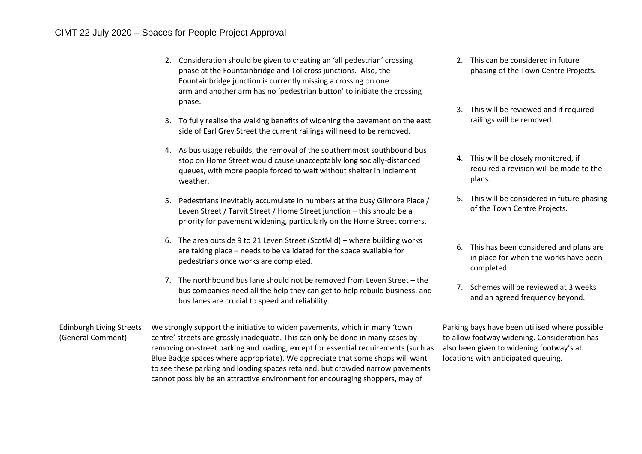| 2. This can be considered in future<br>2. Consideration should be given to creating an 'all pedestrian' crossing<br>phase at the Fountainbridge and Tollcross junctions. Also, the<br>phasing of the Town Centre Projects.<br>Fountainbridge junction is currently missing a crossing on one<br>arm and another arm has no 'pedestrian button' to initiate the crossing |  |
|-------------------------------------------------------------------------------------------------------------------------------------------------------------------------------------------------------------------------------------------------------------------------------------------------------------------------------------------------------------------------|--|
|                                                                                                                                                                                                                                                                                                                                                                         |  |
| phase.<br>3. This will be reviewed and if required<br>railings will be removed.<br>To fully realise the walking benefits of widening the pavement on the east<br>3.<br>side of Earl Grey Street the current railings will need to be removed.                                                                                                                           |  |
| 4. As bus usage rebuilds, the removal of the southernmost southbound bus<br>4. This will be closely monitored, if<br>stop on Home Street would cause unacceptably long socially-distanced<br>required a revision will be made to the<br>queues, with more people forced to wait without shelter in inclement<br>plans.<br>weather.                                      |  |
| 5. This will be considered in future phasing<br>Pedestrians inevitably accumulate in numbers at the busy Gilmore Place /<br>5.<br>of the Town Centre Projects.<br>Leven Street / Tarvit Street / Home Street junction - this should be a<br>priority for pavement widening, particularly on the Home Street corners.                                                    |  |
| The area outside 9 to 21 Leven Street (ScotMid) - where building works<br>6.<br>6. This has been considered and plans are<br>are taking place - needs to be validated for the space available for<br>in place for when the works have been<br>pedestrians once works are completed.<br>completed.                                                                       |  |
| The northbound bus lane should not be removed from Leven Street - the<br>$7_{\cdot}$<br>7. Schemes will be reviewed at 3 weeks<br>bus companies need all the help they can get to help rebuild business, and<br>and an agreed frequency beyond.<br>bus lanes are crucial to speed and reliability.                                                                      |  |
| <b>Edinburgh Living Streets</b><br>We strongly support the initiative to widen pavements, which in many 'town<br>Parking bays have been utilised where possible                                                                                                                                                                                                         |  |
| (General Comment)<br>centre' streets are grossly inadequate. This can only be done in many cases by<br>to allow footway widening. Consideration has                                                                                                                                                                                                                     |  |
| removing on-street parking and loading, except for essential requirements (such as<br>also been given to widening footway's at                                                                                                                                                                                                                                          |  |
| Blue Badge spaces where appropriate). We appreciate that some shops will want<br>locations with anticipated queuing.<br>to see these parking and loading spaces retained, but crowded narrow pavements                                                                                                                                                                  |  |
| cannot possibly be an attractive environment for encouraging shoppers, may of                                                                                                                                                                                                                                                                                           |  |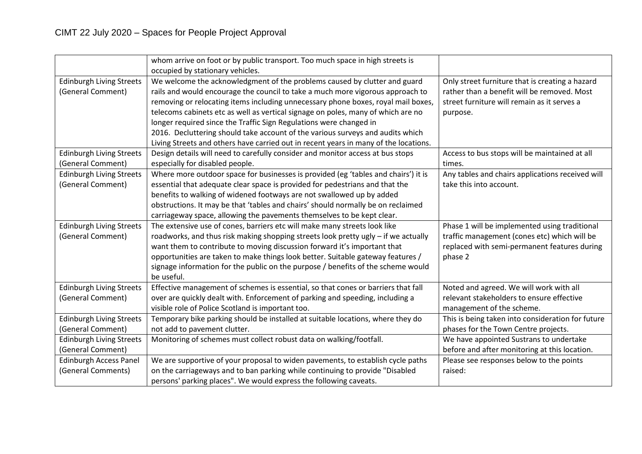|                                 | whom arrive on foot or by public transport. Too much space in high streets is        |                                                   |
|---------------------------------|--------------------------------------------------------------------------------------|---------------------------------------------------|
|                                 | occupied by stationary vehicles.                                                     |                                                   |
| <b>Edinburgh Living Streets</b> | We welcome the acknowledgment of the problems caused by clutter and guard            | Only street furniture that is creating a hazard   |
| (General Comment)               | rails and would encourage the council to take a much more vigorous approach to       | rather than a benefit will be removed. Most       |
|                                 | removing or relocating items including unnecessary phone boxes, royal mail boxes,    | street furniture will remain as it serves a       |
|                                 | telecoms cabinets etc as well as vertical signage on poles, many of which are no     | purpose.                                          |
|                                 | longer required since the Traffic Sign Regulations were changed in                   |                                                   |
|                                 | 2016. Decluttering should take account of the various surveys and audits which       |                                                   |
|                                 | Living Streets and others have carried out in recent years in many of the locations. |                                                   |
| <b>Edinburgh Living Streets</b> | Design details will need to carefully consider and monitor access at bus stops       | Access to bus stops will be maintained at all     |
| (General Comment)               | especially for disabled people.                                                      | times.                                            |
| <b>Edinburgh Living Streets</b> | Where more outdoor space for businesses is provided (eg 'tables and chairs') it is   | Any tables and chairs applications received will  |
| (General Comment)               | essential that adequate clear space is provided for pedestrians and that the         | take this into account.                           |
|                                 | benefits to walking of widened footways are not swallowed up by added                |                                                   |
|                                 | obstructions. It may be that 'tables and chairs' should normally be on reclaimed     |                                                   |
|                                 | carriageway space, allowing the pavements themselves to be kept clear.               |                                                   |
| <b>Edinburgh Living Streets</b> | The extensive use of cones, barriers etc will make many streets look like            | Phase 1 will be implemented using traditional     |
| (General Comment)               | roadworks, and thus risk making shopping streets look pretty ugly - if we actually   | traffic management (cones etc) which will be      |
|                                 | want them to contribute to moving discussion forward it's important that             | replaced with semi-permanent features during      |
|                                 | opportunities are taken to make things look better. Suitable gateway features /      | phase 2                                           |
|                                 | signage information for the public on the purpose / benefits of the scheme would     |                                                   |
|                                 | be useful.                                                                           |                                                   |
| <b>Edinburgh Living Streets</b> | Effective management of schemes is essential, so that cones or barriers that fall    | Noted and agreed. We will work with all           |
| (General Comment)               | over are quickly dealt with. Enforcement of parking and speeding, including a        | relevant stakeholders to ensure effective         |
|                                 | visible role of Police Scotland is important too.                                    | management of the scheme.                         |
| <b>Edinburgh Living Streets</b> | Temporary bike parking should be installed at suitable locations, where they do      | This is being taken into consideration for future |
| (General Comment)               | not add to pavement clutter.                                                         | phases for the Town Centre projects.              |
| <b>Edinburgh Living Streets</b> | Monitoring of schemes must collect robust data on walking/footfall.                  | We have appointed Sustrans to undertake           |
| (General Comment)               |                                                                                      | before and after monitoring at this location.     |
| <b>Edinburgh Access Panel</b>   | We are supportive of your proposal to widen pavements, to establish cycle paths      | Please see responses below to the points          |
| (General Comments)              | on the carriageways and to ban parking while continuing to provide "Disabled         | raised:                                           |
|                                 | persons' parking places". We would express the following caveats.                    |                                                   |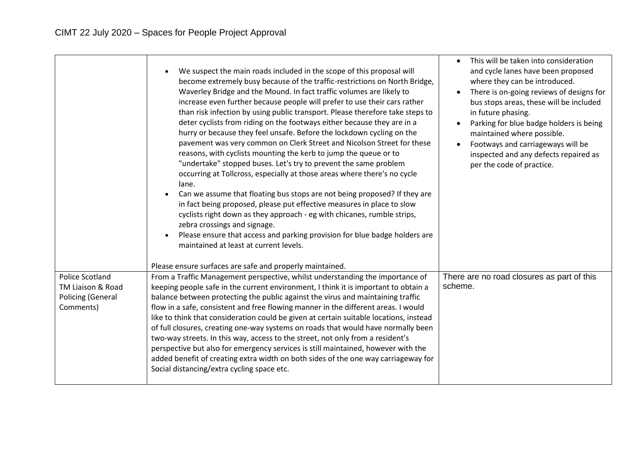|                                                     | We suspect the main roads included in the scope of this proposal will<br>become extremely busy because of the traffic-restrictions on North Bridge,<br>Waverley Bridge and the Mound. In fact traffic volumes are likely to<br>increase even further because people will prefer to use their cars rather<br>than risk infection by using public transport. Please therefore take steps to<br>deter cyclists from riding on the footways either because they are in a<br>hurry or because they feel unsafe. Before the lockdown cycling on the<br>pavement was very common on Clerk Street and Nicolson Street for these<br>reasons, with cyclists mounting the kerb to jump the queue or to<br>"undertake" stopped buses. Let's try to prevent the same problem<br>occurring at Tollcross, especially at those areas where there's no cycle<br>lane.<br>Can we assume that floating bus stops are not being proposed? If they are<br>in fact being proposed, please put effective measures in place to slow<br>cyclists right down as they approach - eg with chicanes, rumble strips,<br>zebra crossings and signage.<br>Please ensure that access and parking provision for blue badge holders are<br>maintained at least at current levels. | This will be taken into consideration<br>and cycle lanes have been proposed<br>where they can be introduced.<br>There is on-going reviews of designs for<br>bus stops areas, these will be included<br>in future phasing.<br>Parking for blue badge holders is being<br>maintained where possible.<br>Footways and carriageways will be<br>inspected and any defects repaired as<br>per the code of practice. |
|-----------------------------------------------------|------------------------------------------------------------------------------------------------------------------------------------------------------------------------------------------------------------------------------------------------------------------------------------------------------------------------------------------------------------------------------------------------------------------------------------------------------------------------------------------------------------------------------------------------------------------------------------------------------------------------------------------------------------------------------------------------------------------------------------------------------------------------------------------------------------------------------------------------------------------------------------------------------------------------------------------------------------------------------------------------------------------------------------------------------------------------------------------------------------------------------------------------------------------------------------------------------------------------------------------------|---------------------------------------------------------------------------------------------------------------------------------------------------------------------------------------------------------------------------------------------------------------------------------------------------------------------------------------------------------------------------------------------------------------|
| <b>Police Scotland</b>                              | Please ensure surfaces are safe and properly maintained.                                                                                                                                                                                                                                                                                                                                                                                                                                                                                                                                                                                                                                                                                                                                                                                                                                                                                                                                                                                                                                                                                                                                                                                       |                                                                                                                                                                                                                                                                                                                                                                                                               |
| TM Liaison & Road<br>Policing (General<br>Comments) | From a Traffic Management perspective, whilst understanding the importance of<br>keeping people safe in the current environment, I think it is important to obtain a<br>balance between protecting the public against the virus and maintaining traffic<br>flow in a safe, consistent and free flowing manner in the different areas. I would<br>like to think that consideration could be given at certain suitable locations, instead<br>of full closures, creating one-way systems on roads that would have normally been<br>two-way streets. In this way, access to the street, not only from a resident's<br>perspective but also for emergency services is still maintained, however with the<br>added benefit of creating extra width on both sides of the one way carriageway for<br>Social distancing/extra cycling space etc.                                                                                                                                                                                                                                                                                                                                                                                                        | There are no road closures as part of this<br>scheme.                                                                                                                                                                                                                                                                                                                                                         |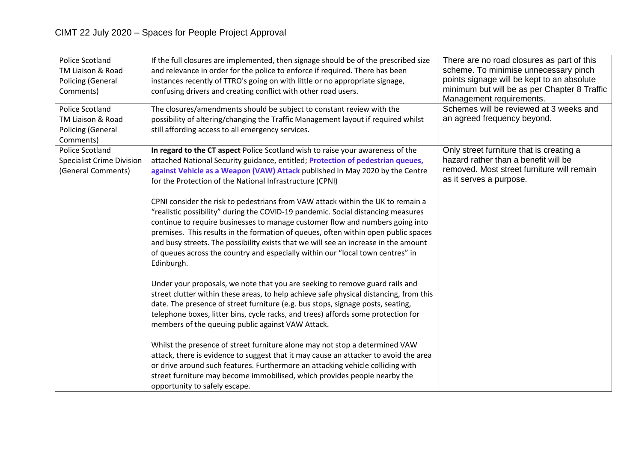| Police Scotland<br>TM Liaison & Road<br>Policing (General<br>Comments)<br>Police Scotland<br>TM Liaison & Road<br>Policing (General | If the full closures are implemented, then signage should be of the prescribed size<br>and relevance in order for the police to enforce if required. There has been<br>instances recently of TTRO's going on with little or no appropriate signage,<br>confusing drivers and creating conflict with other road users.<br>The closures/amendments should be subject to constant review with the<br>possibility of altering/changing the Traffic Management layout if required whilst<br>still affording access to all emergency services.                                                                                                                                                                                                                                                                                                                                                                                                                                                                                                                                                                                                                                                                                                                                                                                                                                                                                                                                                                           | There are no road closures as part of this<br>scheme. To minimise unnecessary pinch<br>points signage will be kept to an absolute<br>minimum but will be as per Chapter 8 Traffic<br>Management requirements.<br>Schemes will be reviewed at 3 weeks and<br>an agreed frequency beyond. |
|-------------------------------------------------------------------------------------------------------------------------------------|--------------------------------------------------------------------------------------------------------------------------------------------------------------------------------------------------------------------------------------------------------------------------------------------------------------------------------------------------------------------------------------------------------------------------------------------------------------------------------------------------------------------------------------------------------------------------------------------------------------------------------------------------------------------------------------------------------------------------------------------------------------------------------------------------------------------------------------------------------------------------------------------------------------------------------------------------------------------------------------------------------------------------------------------------------------------------------------------------------------------------------------------------------------------------------------------------------------------------------------------------------------------------------------------------------------------------------------------------------------------------------------------------------------------------------------------------------------------------------------------------------------------|-----------------------------------------------------------------------------------------------------------------------------------------------------------------------------------------------------------------------------------------------------------------------------------------|
| Comments)<br><b>Police Scotland</b><br><b>Specialist Crime Division</b><br>(General Comments)                                       | In regard to the CT aspect Police Scotland wish to raise your awareness of the<br>attached National Security guidance, entitled; Protection of pedestrian queues,<br>against Vehicle as a Weapon (VAW) Attack published in May 2020 by the Centre<br>for the Protection of the National Infrastructure (CPNI)<br>CPNI consider the risk to pedestrians from VAW attack within the UK to remain a<br>"realistic possibility" during the COVID-19 pandemic. Social distancing measures<br>continue to require businesses to manage customer flow and numbers going into<br>premises. This results in the formation of queues, often within open public spaces<br>and busy streets. The possibility exists that we will see an increase in the amount<br>of queues across the country and especially within our "local town centres" in<br>Edinburgh.<br>Under your proposals, we note that you are seeking to remove guard rails and<br>street clutter within these areas, to help achieve safe physical distancing, from this<br>date. The presence of street furniture (e.g. bus stops, signage posts, seating,<br>telephone boxes, litter bins, cycle racks, and trees) affords some protection for<br>members of the queuing public against VAW Attack.<br>Whilst the presence of street furniture alone may not stop a determined VAW<br>attack, there is evidence to suggest that it may cause an attacker to avoid the area<br>or drive around such features. Furthermore an attacking vehicle colliding with | Only street furniture that is creating a<br>hazard rather than a benefit will be<br>removed. Most street furniture will remain<br>as it serves a purpose.                                                                                                                               |
|                                                                                                                                     | street furniture may become immobilised, which provides people nearby the<br>opportunity to safely escape.                                                                                                                                                                                                                                                                                                                                                                                                                                                                                                                                                                                                                                                                                                                                                                                                                                                                                                                                                                                                                                                                                                                                                                                                                                                                                                                                                                                                         |                                                                                                                                                                                                                                                                                         |